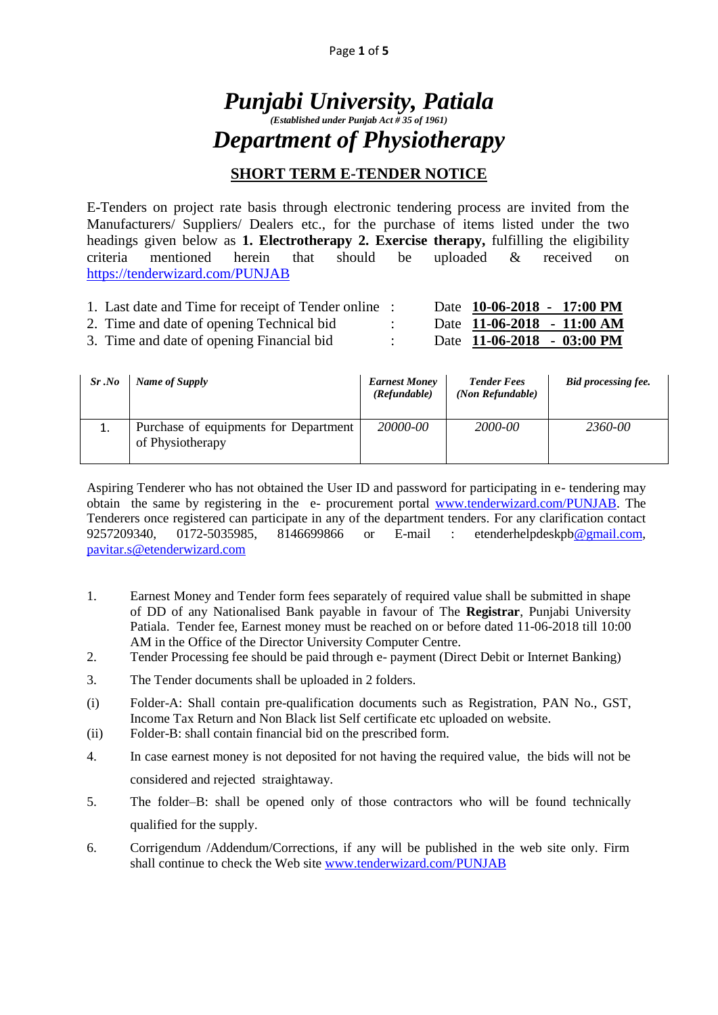# *Punjabi University, Patiala (Established under Punjab Act # 35 of 1961) Department of Physiotherapy*

### **SHORT TERM E-TENDER NOTICE**

E-Tenders on project rate basis through electronic tendering process are invited from the Manufacturers/ Suppliers/ Dealers etc., for the purchase of items listed under the two headings given below as **1. Electrotherapy 2. Exercise therapy,** fulfilling the eligibility criteria mentioned herein that should be uploaded & received on <https://tenderwizard.com/PUNJAB>

| 1. Last date and Time for receipt of Tender online : |  | Date 10-06-2018 - 17:00 PM |
|------------------------------------------------------|--|----------------------------|
| 2. Time and date of opening Technical bid            |  | Date 11-06-2018 - 11:00 AM |
| 3. Time and date of opening Financial bid            |  | Date 11-06-2018 - 03:00 PM |

| Sr.No | Name of Supply                                            | <b>Earnest Money</b><br>(Refundable) | <b>Tender Fees</b><br>(Non Refundable) | <b>Bid processing fee.</b> |
|-------|-----------------------------------------------------------|--------------------------------------|----------------------------------------|----------------------------|
|       | Purchase of equipments for Department<br>of Physiotherapy | 20000-00                             | 2000-00                                | 2360-00                    |

Aspiring Tenderer who has not obtained the User ID and password for participating in e- tendering may obtain the same by registering in the e- procurement portal [www.tenderwizard.com/PUNJAB.](http://www.tenderwizard.com/PUNJAB) The Tenderers once registered can participate in any of the department tenders. For any clarification contact 9257209340, 0172-5035985, 8146699866 or E-mail : etenderhelpdeskp[b@gmail.com,](mailto:@gmail.com) [pavitar.s@etenderwizard.com](mailto:pavitar.s@etenderwizard.com)

- 1. Earnest Money and Tender form fees separately of required value shall be submitted in shape of DD of any Nationalised Bank payable in favour of The **Registrar**, Punjabi University Patiala. Tender fee, Earnest money must be reached on or before dated 11-06-2018 till 10:00 AM in the Office of the Director University Computer Centre.
- 2. Tender Processing fee should be paid through e- payment (Direct Debit or Internet Banking)
- 3. The Tender documents shall be uploaded in 2 folders.
- (i) Folder-A: Shall contain pre-qualification documents such as Registration, PAN No., GST, Income Tax Return and Non Black list Self certificate etc uploaded on website.
- (ii) Folder-B: shall contain financial bid on the prescribed form.
- 4. In case earnest money is not deposited for not having the required value, the bids will not be considered and rejected straightaway.
- 5. The folder–B: shall be opened only of those contractors who will be found technically qualified for the supply.
- 6. Corrigendum /Addendum/Corrections, if any will be published in the web site only. Firm shall continue to check the Web site [www.tenderwizard.com/PUNJAB](http://www.tenderwizard.com/PUNJAB)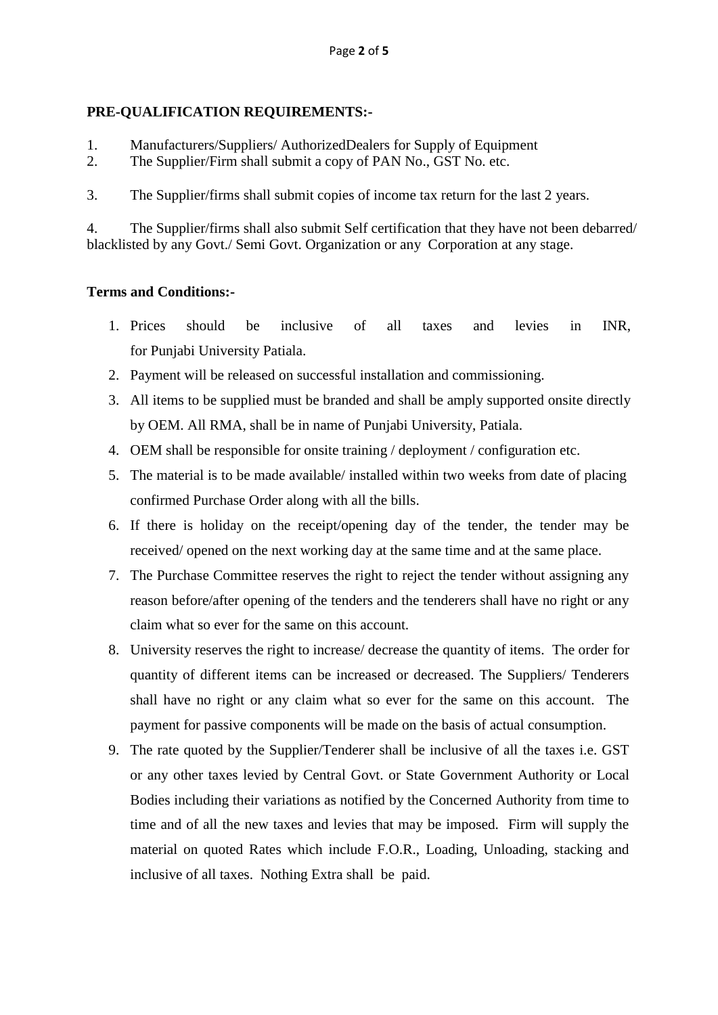### **PRE-QUALIFICATION REQUIREMENTS:-**

- 1. Manufacturers/Suppliers/ AuthorizedDealers for Supply of Equipment
- 2. The Supplier/Firm shall submit a copy of PAN No., GST No. etc.
- 3. The Supplier/firms shall submit copies of income tax return for the last 2 years.

4. The Supplier/firms shall also submit Self certification that they have not been debarred/ blacklisted by any Govt./ Semi Govt. Organization or any Corporation at any stage.

### **Terms and Conditions:-**

- 1. Prices should be inclusive of all taxes and levies in INR, for Punjabi University Patiala.
- 2. Payment will be released on successful installation and commissioning.
- 3. All items to be supplied must be branded and shall be amply supported onsite directly by OEM. All RMA, shall be in name of Punjabi University, Patiala.
- 4. OEM shall be responsible for onsite training / deployment / configuration etc.
- 5. The material is to be made available/ installed within two weeks from date of placing confirmed Purchase Order along with all the bills.
- 6. If there is holiday on the receipt/opening day of the tender, the tender may be received/ opened on the next working day at the same time and at the same place.
- 7. The Purchase Committee reserves the right to reject the tender without assigning any reason before/after opening of the tenders and the tenderers shall have no right or any claim what so ever for the same on this account.
- 8. University reserves the right to increase/ decrease the quantity of items. The order for quantity of different items can be increased or decreased. The Suppliers/ Tenderers shall have no right or any claim what so ever for the same on this account. The payment for passive components will be made on the basis of actual consumption.
- 9. The rate quoted by the Supplier/Tenderer shall be inclusive of all the taxes i.e. GST or any other taxes levied by Central Govt. or State Government Authority or Local Bodies including their variations as notified by the Concerned Authority from time to time and of all the new taxes and levies that may be imposed. Firm will supply the material on quoted Rates which include F.O.R., Loading, Unloading, stacking and inclusive of all taxes. Nothing Extra shall be paid.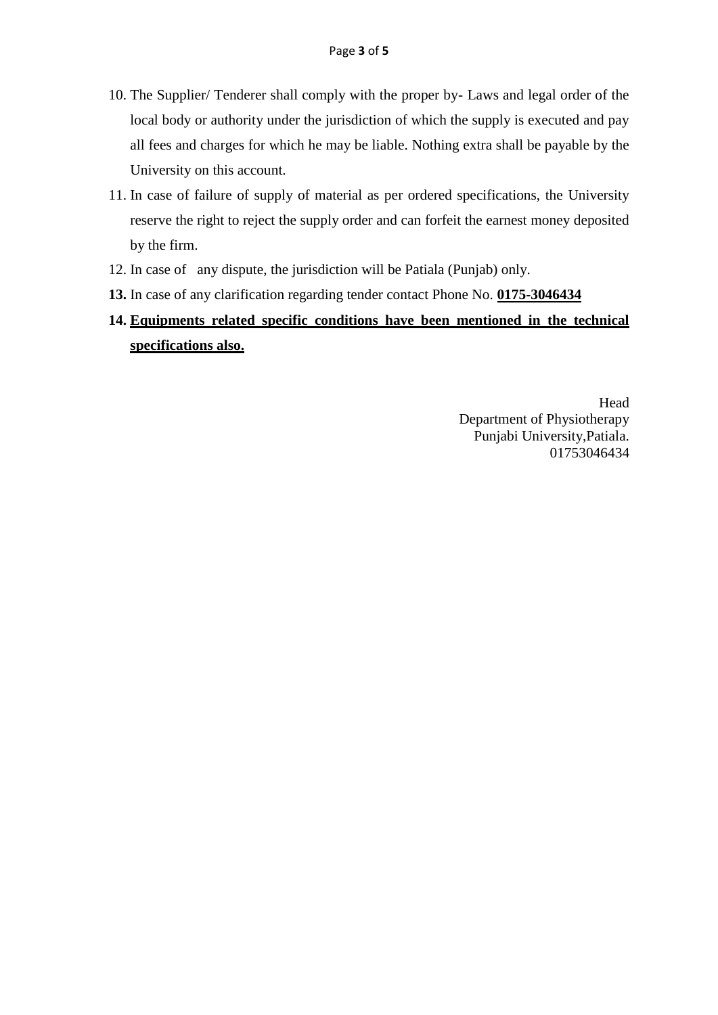- 10. The Supplier/ Tenderer shall comply with the proper by- Laws and legal order of the local body or authority under the jurisdiction of which the supply is executed and pay all fees and charges for which he may be liable. Nothing extra shall be payable by the University on this account.
- 11. In case of failure of supply of material as per ordered specifications, the University reserve the right to reject the supply order and can forfeit the earnest money deposited by the firm.
- 12. In case of any dispute, the jurisdiction will be Patiala (Punjab) only.
- **13.** In case of any clarification regarding tender contact Phone No. **0175-3046434**

## **14. Equipments related specific conditions have been mentioned in the technical specifications also.**

Head Department of Physiotherapy Punjabi University,Patiala. 01753046434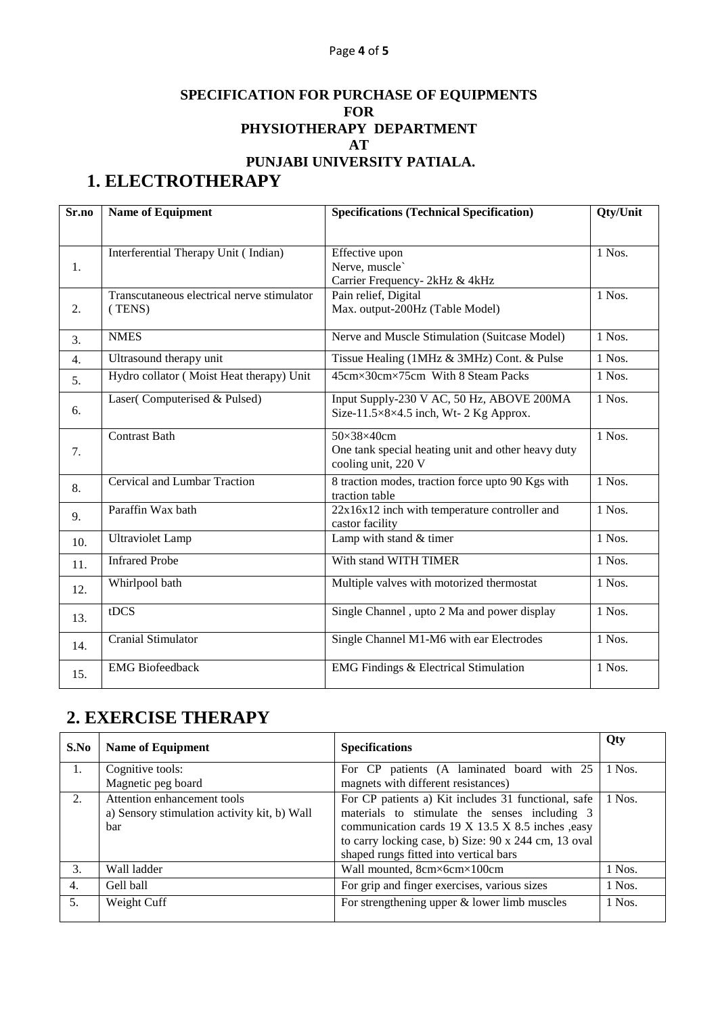#### Page **4** of **5**

## **SPECIFICATION FOR PURCHASE OF EQUIPMENTS FOR PHYSIOTHERAPY DEPARTMENT AT PUNJABI UNIVERSITY PATIALA.**

# **1. ELECTROTHERAPY**

| Sr.no            | <b>Name of Equipment</b>                             | <b>Specifications (Technical Specification)</b>                                                      |          |
|------------------|------------------------------------------------------|------------------------------------------------------------------------------------------------------|----------|
|                  |                                                      |                                                                                                      |          |
| 1.               | Interferential Therapy Unit (Indian)                 | Effective upon<br>Nerve, muscle`<br>Carrier Frequency- 2kHz & 4kHz                                   | 1 Nos.   |
| 2.               | Transcutaneous electrical nerve stimulator<br>(TENS) | Pain relief, Digital<br>Max. output-200Hz (Table Model)                                              | 1 Nos.   |
| 3.               | <b>NMES</b>                                          | Nerve and Muscle Stimulation (Suitcase Model)                                                        | 1 Nos.   |
| $\overline{4}$ . | Ultrasound therapy unit                              | Tissue Healing (1MHz & 3MHz) Cont. & Pulse                                                           | 1 Nos.   |
| 5.               | Hydro collator (Moist Heat therapy) Unit             | 45cm×30cm×75cm With 8 Steam Packs                                                                    | 1 Nos.   |
| 6.               | Laser(Computerised & Pulsed)                         | Input Supply-230 V AC, 50 Hz, ABOVE 200MA<br>Size-11.5 $\times$ 8 $\times$ 4.5 inch, Wt-2 Kg Approx. | 1 Nos.   |
| 7.               | <b>Contrast Bath</b>                                 | 50×38×40cm<br>One tank special heating unit and other heavy duty<br>cooling unit, 220 V              | 1 Nos.   |
| 8.               | Cervical and Lumbar Traction                         | 8 traction modes, traction force upto 90 Kgs with<br>traction table                                  | $1$ Nos. |
| 9.               | Paraffin Wax bath                                    | $22x16x12$ inch with temperature controller and<br>castor facility                                   | 1 Nos.   |
| 10.              | <b>Ultraviolet Lamp</b>                              | Lamp with stand & timer                                                                              | $1$ Nos. |
| 11.              | <b>Infrared Probe</b>                                | With stand WITH TIMER                                                                                | 1 Nos.   |
| 12.              | Whirlpool bath                                       | Multiple valves with motorized thermostat                                                            | 1 Nos.   |
| 13.              | tDCS                                                 | Single Channel, upto 2 Ma and power display                                                          | $1$ Nos. |
| 14.              | <b>Cranial Stimulator</b>                            | Single Channel M1-M6 with ear Electrodes                                                             | 1 Nos.   |
| 15.              | <b>EMG</b> Biofeedback                               | <b>EMG Findings &amp; Electrical Stimulation</b>                                                     | 1 Nos.   |

# **2. EXERCISE THERAPY**

| S.No | <b>Name of Equipment</b>                                                           | <b>Specifications</b>                                                                                                                                                                                                                                      | Qty    |
|------|------------------------------------------------------------------------------------|------------------------------------------------------------------------------------------------------------------------------------------------------------------------------------------------------------------------------------------------------------|--------|
| 1.   | Cognitive tools:                                                                   | For CP patients (A laminated board with 25                                                                                                                                                                                                                 | 1 Nos. |
|      | Magnetic peg board                                                                 | magnets with different resistances)                                                                                                                                                                                                                        |        |
| 2.   | Attention enhancement tools<br>a) Sensory stimulation activity kit, b) Wall<br>bar | For CP patients a) Kit includes 31 functional, safe<br>materials to stimulate the senses including 3<br>communication cards 19 X 13.5 X 8.5 inches ,easy<br>to carry locking case, b) Size: 90 x 244 cm, 13 oval<br>shaped rungs fitted into vertical bars | 1 Nos. |
| 3.   | Wall ladder                                                                        | Wall mounted, 8cm×6cm×100cm                                                                                                                                                                                                                                | 1 Nos. |
| 4.   | Gell ball                                                                          | For grip and finger exercises, various sizes                                                                                                                                                                                                               | 1 Nos. |
| 5.   | Weight Cuff                                                                        | For strengthening upper $&$ lower limb muscles                                                                                                                                                                                                             | 1 Nos. |